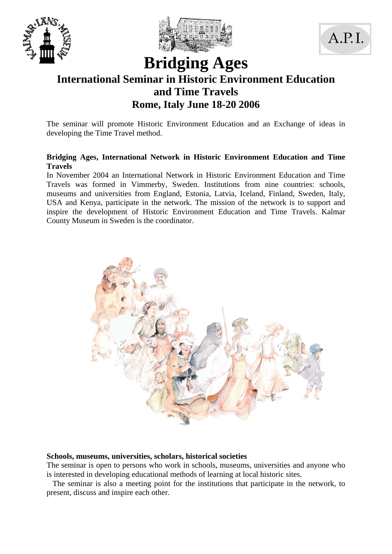





# **Bridging Ages International Seminar in Historic Environment Education and Time Travels Rome, Italy June 18-20 2006**

The seminar will promote Historic Environment Education and an Exchange of ideas in developing the Time Travel method.

### **Bridging Ages, International Network in Historic Environment Education and Time Travels**

In November 2004 an International Network in Historic Environment Education and Time Travels was formed in Vimmerby, Sweden. Institutions from nine countries: schools, museums and universities from England, Estonia, Latvia, Iceland, Finland, Sweden, Italy, USA and Kenya, participate in the network. The mission of the network is to support and inspire the development of Historic Environment Education and Time Travels. Kalmar County Museum in Sweden is the coordinator.



#### **Schools, museums, universities, scholars, historical societies**

The seminar is open to persons who work in schools, museums, universities and anyone who is interested in developing educational methods of learning at local historic sites.

 The seminar is also a meeting point for the institutions that participate in the network, to present, discuss and inspire each other.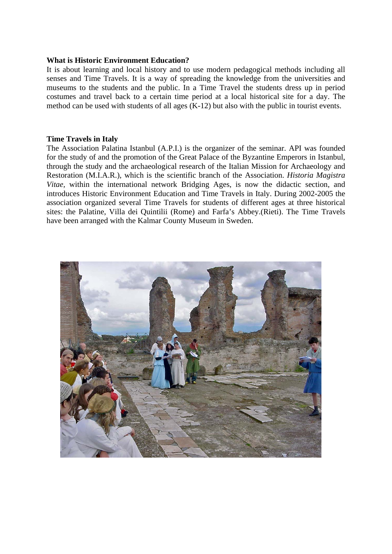#### **What is Historic Environment Education?**

It is about learning and local history and to use modern pedagogical methods including all senses and Time Travels. It is a way of spreading the knowledge from the universities and museums to the students and the public. In a Time Travel the students dress up in period costumes and travel back to a certain time period at a local historical site for a day. The method can be used with students of all ages (K-12) but also with the public in tourist events.

#### **Time Travels in Italy**

The Association Palatina Istanbul (A.P.I.) is the organizer of the seminar. API was founded for the study of and the promotion of the Great Palace of the Byzantine Emperors in Istanbul, through the study and the archaeological research of the Italian Mission for Archaeology and Restoration (M.I.A.R.), which is the scientific branch of the Association. *Historia Magistra Vitae,* within the international network Bridging Ages, is now the didactic section, and introduces Historic Environment Education and Time Travels in Italy. During 2002-2005 the association organized several Time Travels for students of different ages at three historical sites: the Palatine, Villa dei Quintilii (Rome) and Farfa's Abbey.(Rieti). The Time Travels have been arranged with the Kalmar County Museum in Sweden.

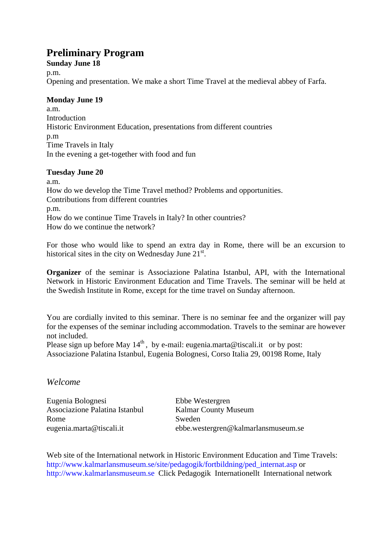## **Preliminary Program**

### **Sunday June 18**

p.m.

Opening and presentation. We make a short Time Travel at the medieval abbey of Farfa.

#### **Monday June 19**

a.m. Introduction Historic Environment Education, presentations from different countries p.m Time Travels in Italy In the evening a get-together with food and fun

### **Tuesday June 20**

a.m. How do we develop the Time Travel method? Problems and opportunities. Contributions from different countries p.m. How do we continue Time Travels in Italy? In other countries? How do we continue the network?

For those who would like to spend an extra day in Rome, there will be an excursion to historical sites in the city on Wednesday June 21<sup>st</sup>.

**Organizer** of the seminar is Associazione Palatina Istanbul, API, with the International Network in Historic Environment Education and Time Travels. The seminar will be held at the Swedish Institute in Rome, except for the time travel on Sunday afternoon.

You are cordially invited to this seminar. There is no seminar fee and the organizer will pay for the expenses of the seminar including accommodation. Travels to the seminar are however not included.

Please sign up before May  $14<sup>th</sup>$ , by e-mail: eugenia.marta@tiscali.it or by post: Associazione Palatina Istanbul, Eugenia Bolognesi, Corso Italia 29, 00198 Rome, Italy

## *Welcome*

Eugenia Bolognesi Ebbe Westergren Associazione Palatina Istanbul Kalmar County Museum Rome Sweden

eugenia.marta@tiscali.it ebbe.westergren@kalmarlansmuseum.se

Web site of the International network in Historic Environment Education and Time Travels: http://www.kalmarlansmuseum.se/site/pedagogik/fortbildning/ped\_internat.asp or http://www.kalmarlansmuseum.se Click Pedagogik Internationellt International network